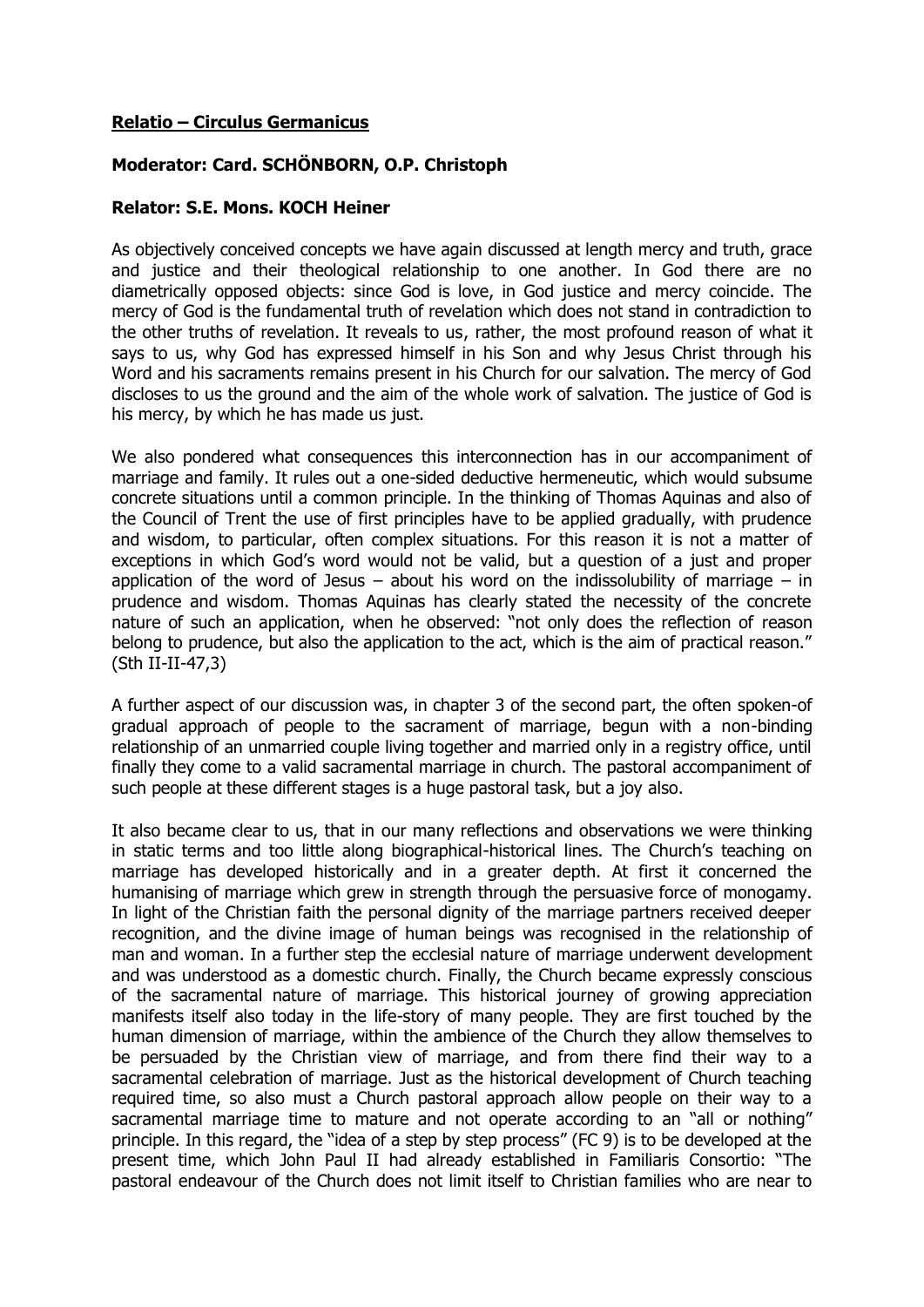## **Relatio – Circulus Germanicus**

## **Moderator: Card. SCHÖNBORN, O.P. Christoph**

## **Relator: S.E. Mons. KOCH Heiner**

As objectively conceived concepts we have again discussed at length mercy and truth, grace and justice and their theological relationship to one another. In God there are no diametrically opposed objects: since God is love, in God justice and mercy coincide. The mercy of God is the fundamental truth of revelation which does not stand in contradiction to the other truths of revelation. It reveals to us, rather, the most profound reason of what it says to us, why God has expressed himself in his Son and why Jesus Christ through his Word and his sacraments remains present in his Church for our salvation. The mercy of God discloses to us the ground and the aim of the whole work of salvation. The justice of God is his mercy, by which he has made us just.

We also pondered what consequences this interconnection has in our accompaniment of marriage and family. It rules out a one-sided deductive hermeneutic, which would subsume concrete situations until a common principle. In the thinking of Thomas Aquinas and also of the Council of Trent the use of first principles have to be applied gradually, with prudence and wisdom, to particular, often complex situations. For this reason it is not a matter of exceptions in which God's word would not be valid, but a question of a just and proper application of the word of Jesus – about his word on the indissolubility of marriage – in prudence and wisdom. Thomas Aquinas has clearly stated the necessity of the concrete nature of such an application, when he observed: "not only does the reflection of reason belong to prudence, but also the application to the act, which is the aim of practical reason." (Sth II-II-47,3)

A further aspect of our discussion was, in chapter 3 of the second part, the often spoken-of gradual approach of people to the sacrament of marriage, begun with a non-binding relationship of an unmarried couple living together and married only in a registry office, until finally they come to a valid sacramental marriage in church. The pastoral accompaniment of such people at these different stages is a huge pastoral task, but a joy also.

It also became clear to us, that in our many reflections and observations we were thinking in static terms and too little along biographical-historical lines. The Church's teaching on marriage has developed historically and in a greater depth. At first it concerned the humanising of marriage which grew in strength through the persuasive force of monogamy. In light of the Christian faith the personal dignity of the marriage partners received deeper recognition, and the divine image of human beings was recognised in the relationship of man and woman. In a further step the ecclesial nature of marriage underwent development and was understood as a domestic church. Finally, the Church became expressly conscious of the sacramental nature of marriage. This historical journey of growing appreciation manifests itself also today in the life-story of many people. They are first touched by the human dimension of marriage, within the ambience of the Church they allow themselves to be persuaded by the Christian view of marriage, and from there find their way to a sacramental celebration of marriage. Just as the historical development of Church teaching required time, so also must a Church pastoral approach allow people on their way to a sacramental marriage time to mature and not operate according to an "all or nothing" principle. In this regard, the "idea of a step by step process" (FC 9) is to be developed at the present time, which John Paul II had already established in Familiaris Consortio: "The pastoral endeavour of the Church does not limit itself to Christian families who are near to